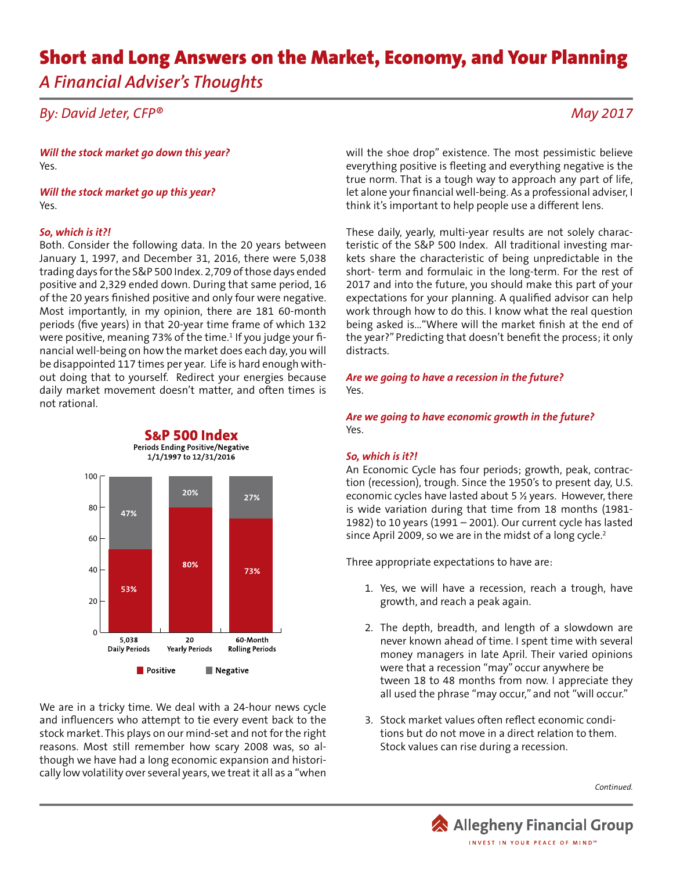# Short and Long Answers on the Market, Economy, and Your Planning *A Financial Adviser's Thoughts*

## *By: David Jeter, CFP®*

*Will the stock market go down this year?* Yes.

*Will the stock market go up this year?* Yes.

#### *So, which is it?!*

Both. Consider the following data. In the 20 years between January 1, 1997, and December 31, 2016, there were 5,038 trading days for the S&P 500 Index. 2,709 of those days ended positive and 2,329 ended down. During that same period, 16 of the 20 years finished positive and only four were negative. Most importantly, in my opinion, there are 181 60-month periods (five years) in that 20-year time frame of which 132 were positive, meaning 73% of the time.<sup>1</sup> If you judge your financial well-being on how the market does each day, you will be disappointed 117 times per year. Life is hard enough without doing that to yourself. Redirect your energies because daily market movement doesn't matter, and often times is not rational.



We are in a tricky time. We deal with a 24-hour news cycle and influencers who attempt to tie every event back to the stock market. This plays on our mind-set and not for the right reasons. Most still remember how scary 2008 was, so although we have had a long economic expansion and historically low volatility over several years, we treat it all as a "when

*May 2017*

will the shoe drop" existence. The most pessimistic believe everything positive is fleeting and everything negative is the true norm. That is a tough way to approach any part of life, let alone your financial well-being. As a professional adviser, I think it's important to help people use a different lens.

These daily, yearly, multi-year results are not solely characteristic of the S&P 500 Index. All traditional investing markets share the characteristic of being unpredictable in the short- term and formulaic in the long-term. For the rest of 2017 and into the future, you should make this part of your expectations for your planning. A qualified advisor can help work through how to do this. I know what the real question being asked is..."Where will the market finish at the end of the year?" Predicting that doesn't benefit the process; it only distracts.

*Are we going to have a recession in the future?* Yes.

*Are we going to have economic growth in the future?* Yes.

#### *So, which is it?!*

An Economic Cycle has four periods; growth, peak, contraction (recession), trough. Since the 1950's to present day, U.S. economic cycles have lasted about 5 ½ years. However, there is wide variation during that time from 18 months (1981- 1982) to 10 years (1991 – 2001). Our current cycle has lasted since April 2009, so we are in the midst of a long cycle.<sup>2</sup>

Three appropriate expectations to have are:

- 1. Yes, we will have a recession, reach a trough, have growth, and reach a peak again.
- 2. The depth, breadth, and length of a slowdown are never known ahead of time. I spent time with several money managers in late April. Their varied opinions were that a recession "may" occur anywhere be tween 18 to 48 months from now. I appreciate they all used the phrase "may occur," and not "will occur."
- 3. Stock market values often reflect economic condi tions but do not move in a direct relation to them. Stock values can rise during a recession.

*Continued.*